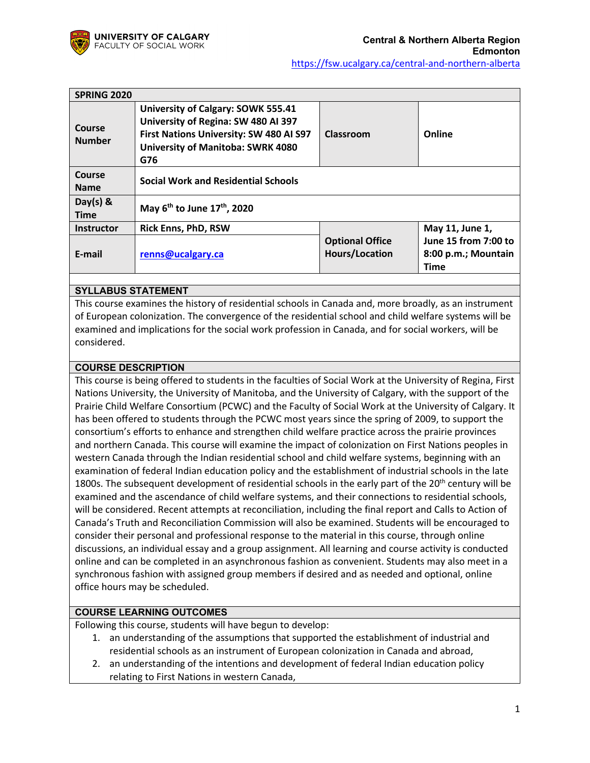

| <b>SPRING 2020</b>           |                                                                                                                                                                         |                                                 |                                                            |
|------------------------------|-------------------------------------------------------------------------------------------------------------------------------------------------------------------------|-------------------------------------------------|------------------------------------------------------------|
| Course<br><b>Number</b>      | University of Calgary: SOWK 555.41<br>University of Regina: SW 480 AI 397<br>First Nations University: SW 480 AI S97<br><b>University of Manitoba: SWRK 4080</b><br>G76 | Classroom                                       | Online                                                     |
| <b>Course</b><br><b>Name</b> | <b>Social Work and Residential Schools</b>                                                                                                                              |                                                 |                                                            |
| Day(s) $8$<br><b>Time</b>    | May $6^{th}$ to June 17 <sup>th</sup> , 2020                                                                                                                            |                                                 |                                                            |
| <b>Instructor</b>            | <b>Rick Enns, PhD, RSW</b>                                                                                                                                              |                                                 | May 11, June 1,                                            |
| E-mail                       | renns@ucalgary.ca                                                                                                                                                       | <b>Optional Office</b><br><b>Hours/Location</b> | June 15 from 7:00 to<br>8:00 p.m.; Mountain<br><b>Time</b> |

## **SYLLABUS STATEMENT**

This course examines the history of residential schools in Canada and, more broadly, as an instrument of European colonization. The convergence of the residential school and child welfare systems will be examined and implications for the social work profession in Canada, and for social workers, will be considered.

## **COURSE DESCRIPTION**

This course is being offered to students in the faculties of Social Work at the University of Regina, First Nations University, the University of Manitoba, and the University of Calgary, with the support of the Prairie Child Welfare Consortium (PCWC) and the Faculty of Social Work at the University of Calgary. It has been offered to students through the PCWC most years since the spring of 2009, to support the consortium's efforts to enhance and strengthen child welfare practice across the prairie provinces and northern Canada. This course will examine the impact of colonization on First Nations peoples in western Canada through the Indian residential school and child welfare systems, beginning with an examination of federal Indian education policy and the establishment of industrial schools in the late 1800s. The subsequent development of residential schools in the early part of the  $20<sup>th</sup>$  century will be examined and the ascendance of child welfare systems, and their connections to residential schools, will be considered. Recent attempts at reconciliation, including the final report and Calls to Action of Canada's Truth and Reconciliation Commission will also be examined. Students will be encouraged to consider their personal and professional response to the material in this course, through online discussions, an individual essay and a group assignment. All learning and course activity is conducted online and can be completed in an asynchronous fashion as convenient. Students may also meet in a synchronous fashion with assigned group members if desired and as needed and optional, online office hours may be scheduled.

## **COURSE LEARNING OUTCOMES**

Following this course, students will have begun to develop:

- 1. an understanding of the assumptions that supported the establishment of industrial and residential schools as an instrument of European colonization in Canada and abroad,
- 2. an understanding of the intentions and development of federal Indian education policy relating to First Nations in western Canada,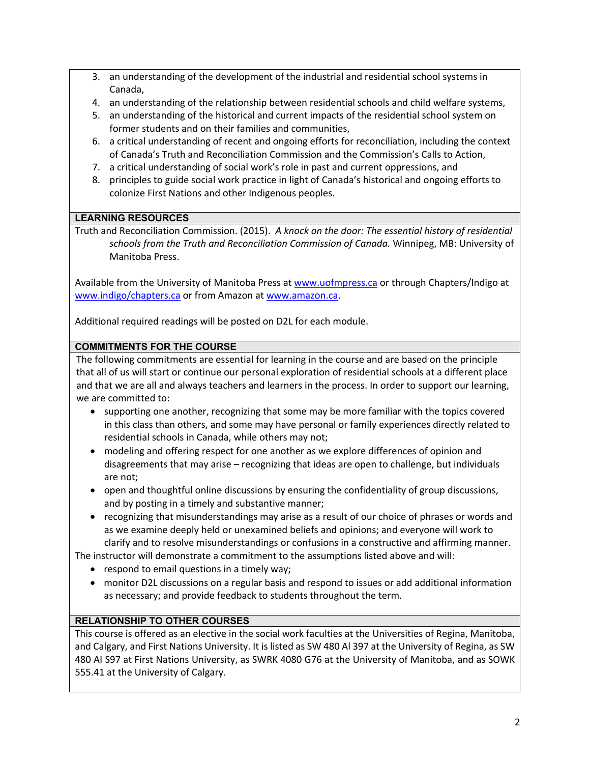- 3. an understanding of the development of the industrial and residential school systems in Canada,
- 4. an understanding of the relationship between residential schools and child welfare systems,
- 5. an understanding of the historical and current impacts of the residential school system on former students and on their families and communities,
- 6. a critical understanding of recent and ongoing efforts for reconciliation, including the context of Canada's Truth and Reconciliation Commission and the Commission's Calls to Action,
- 7. a critical understanding of social work's role in past and current oppressions, and
- 8. principles to guide social work practice in light of Canada's historical and ongoing efforts to colonize First Nations and other Indigenous peoples.

# **LEARNING RESOURCES**

Truth and Reconciliation Commission. (2015). *A knock on the door: The essential history of residential schools from the Truth and Reconciliation Commission of Canada.* Winnipeg, MB: University of Manitoba Press.

Available from the University of Manitoba Press at www.uofmpress.ca or through Chapters/Indigo at www.indigo/chapters.ca or from Amazon at www.amazon.ca.

Additional required readings will be posted on D2L for each module.

# **COMMITMENTS FOR THE COURSE**

The following commitments are essential for learning in the course and are based on the principle that all of us will start or continue our personal exploration of residential schools at a different place and that we are all and always teachers and learners in the process. In order to support our learning, we are committed to:

- supporting one another, recognizing that some may be more familiar with the topics covered in this class than others, and some may have personal or family experiences directly related to residential schools in Canada, while others may not;
- modeling and offering respect for one another as we explore differences of opinion and disagreements that may arise – recognizing that ideas are open to challenge, but individuals are not;
- open and thoughtful online discussions by ensuring the confidentiality of group discussions, and by posting in a timely and substantive manner;
- recognizing that misunderstandings may arise as a result of our choice of phrases or words and as we examine deeply held or unexamined beliefs and opinions; and everyone will work to clarify and to resolve misunderstandings or confusions in a constructive and affirming manner.

The instructor will demonstrate a commitment to the assumptions listed above and will:

- respond to email questions in a timely way;
- monitor D2L discussions on a regular basis and respond to issues or add additional information as necessary; and provide feedback to students throughout the term.

# **RELATIONSHIP TO OTHER COURSES**

This course is offered as an elective in the social work faculties at the Universities of Regina, Manitoba, and Calgary, and First Nations University. It is listed as SW 480 Al 397 at the University of Regina, as SW 480 AI S97 at First Nations University, as SWRK 4080 G76 at the University of Manitoba, and as SOWK 555.41 at the University of Calgary.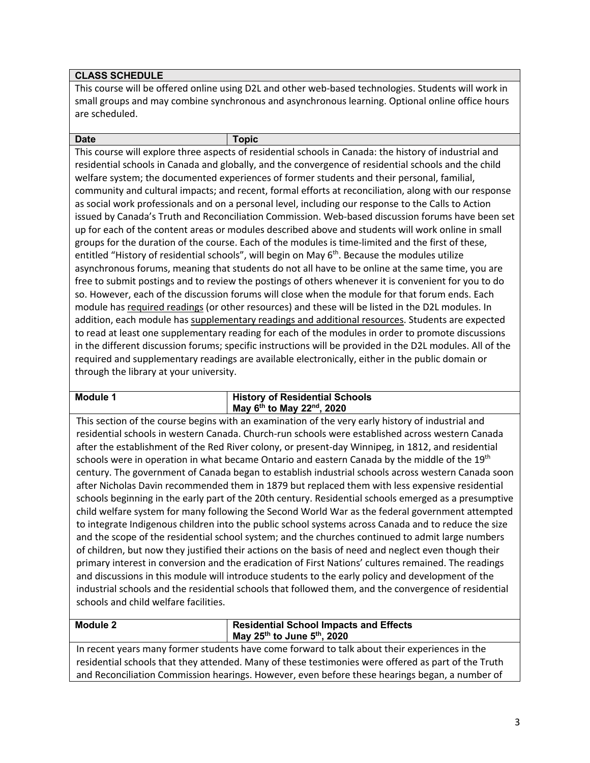# **CLASS SCHEDULE**

This course will be offered online using D2L and other web-based technologies. Students will work in small groups and may combine synchronous and asynchronous learning. Optional online office hours are scheduled.

**Date Topic**

This course will explore three aspects of residential schools in Canada: the history of industrial and residential schools in Canada and globally, and the convergence of residential schools and the child welfare system; the documented experiences of former students and their personal, familial, community and cultural impacts; and recent, formal efforts at reconciliation, along with our response as social work professionals and on a personal level, including our response to the Calls to Action issued by Canada's Truth and Reconciliation Commission. Web-based discussion forums have been set up for each of the content areas or modules described above and students will work online in small groups for the duration of the course. Each of the modules is time-limited and the first of these, entitled "History of residential schools", will begin on May  $6<sup>th</sup>$ . Because the modules utilize asynchronous forums, meaning that students do not all have to be online at the same time, you are free to submit postings and to review the postings of others whenever it is convenient for you to do so. However, each of the discussion forums will close when the module for that forum ends. Each module has required readings (or other resources) and these will be listed in the D2L modules. In addition, each module has supplementary readings and additional resources. Students are expected to read at least one supplementary reading for each of the modules in order to promote discussions in the different discussion forums; specific instructions will be provided in the D2L modules. All of the required and supplementary readings are available electronically, either in the public domain or through the library at your university.

#### **Module 1 History of Residential Schools May 6th to May 22nd, 2020**

This section of the course begins with an examination of the very early history of industrial and residential schools in western Canada. Church-run schools were established across western Canada after the establishment of the Red River colony, or present-day Winnipeg, in 1812, and residential schools were in operation in what became Ontario and eastern Canada by the middle of the 19<sup>th</sup> century. The government of Canada began to establish industrial schools across western Canada soon after Nicholas Davin recommended them in 1879 but replaced them with less expensive residential schools beginning in the early part of the 20th century. Residential schools emerged as a presumptive child welfare system for many following the Second World War as the federal government attempted to integrate Indigenous children into the public school systems across Canada and to reduce the size and the scope of the residential school system; and the churches continued to admit large numbers of children, but now they justified their actions on the basis of need and neglect even though their primary interest in conversion and the eradication of First Nations' cultures remained. The readings and discussions in this module will introduce students to the early policy and development of the industrial schools and the residential schools that followed them, and the convergence of residential schools and child welfare facilities.

#### **Module 2 Residential School Impacts and Effects May 25th to June 5th, 2020**

In recent years many former students have come forward to talk about their experiences in the residential schools that they attended. Many of these testimonies were offered as part of the Truth and Reconciliation Commission hearings. However, even before these hearings began, a number of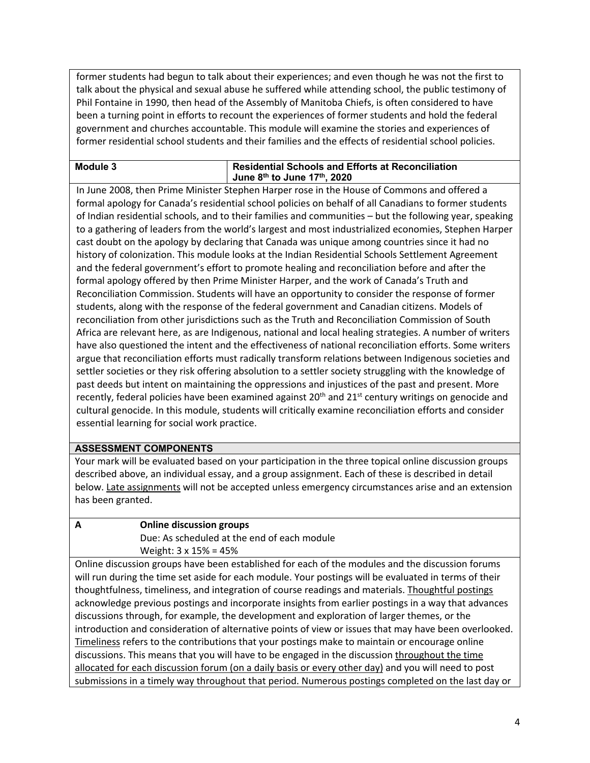former students had begun to talk about their experiences; and even though he was not the first to talk about the physical and sexual abuse he suffered while attending school, the public testimony of Phil Fontaine in 1990, then head of the Assembly of Manitoba Chiefs, is often considered to have been a turning point in efforts to recount the experiences of former students and hold the federal government and churches accountable. This module will examine the stories and experiences of former residential school students and their families and the effects of residential school policies.

# **Module 3 Residential Schools and Efforts at Reconciliation June 8th to June 17th, 2020**

In June 2008, then Prime Minister Stephen Harper rose in the House of Commons and offered a formal apology for Canada's residential school policies on behalf of all Canadians to former students of Indian residential schools, and to their families and communities – but the following year, speaking to a gathering of leaders from the world's largest and most industrialized economies, Stephen Harper cast doubt on the apology by declaring that Canada was unique among countries since it had no history of colonization. This module looks at the Indian Residential Schools Settlement Agreement and the federal government's effort to promote healing and reconciliation before and after the formal apology offered by then Prime Minister Harper, and the work of Canada's Truth and Reconciliation Commission. Students will have an opportunity to consider the response of former students, along with the response of the federal government and Canadian citizens. Models of reconciliation from other jurisdictions such as the Truth and Reconciliation Commission of South Africa are relevant here, as are Indigenous, national and local healing strategies. A number of writers have also questioned the intent and the effectiveness of national reconciliation efforts. Some writers argue that reconciliation efforts must radically transform relations between Indigenous societies and settler societies or they risk offering absolution to a settler society struggling with the knowledge of past deeds but intent on maintaining the oppressions and injustices of the past and present. More recently, federal policies have been examined against 20<sup>th</sup> and 21<sup>st</sup> century writings on genocide and cultural genocide. In this module, students will critically examine reconciliation efforts and consider essential learning for social work practice.

# **ASSESSMENT COMPONENTS**

Your mark will be evaluated based on your participation in the three topical online discussion groups described above, an individual essay, and a group assignment. Each of these is described in detail below. Late assignments will not be accepted unless emergency circumstances arise and an extension has been granted.

# **A Online discussion groups**

Due: As scheduled at the end of each module Weight: 3 x 15% = 45%

Online discussion groups have been established for each of the modules and the discussion forums will run during the time set aside for each module. Your postings will be evaluated in terms of their thoughtfulness, timeliness, and integration of course readings and materials. Thoughtful postings acknowledge previous postings and incorporate insights from earlier postings in a way that advances discussions through, for example, the development and exploration of larger themes, or the introduction and consideration of alternative points of view or issues that may have been overlooked. Timeliness refers to the contributions that your postings make to maintain or encourage online discussions. This means that you will have to be engaged in the discussion throughout the time allocated for each discussion forum (on a daily basis or every other day) and you will need to post submissions in a timely way throughout that period. Numerous postings completed on the last day or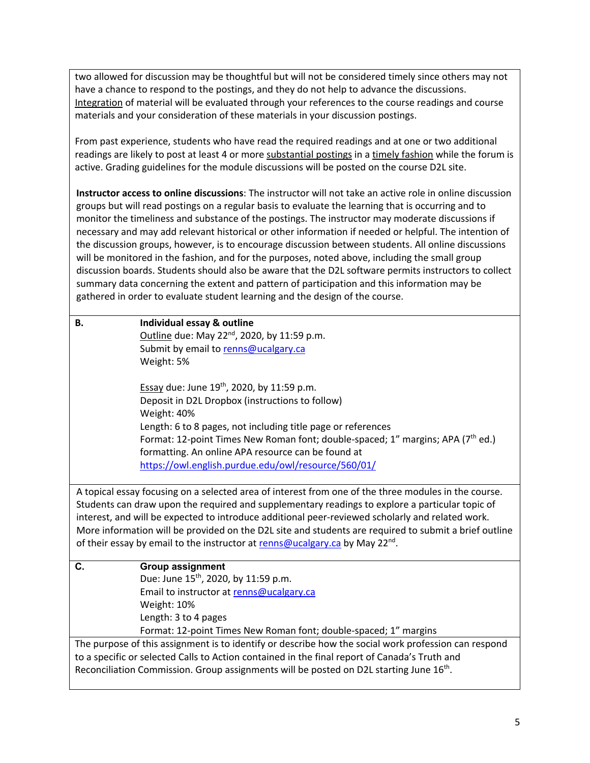two allowed for discussion may be thoughtful but will not be considered timely since others may not have a chance to respond to the postings, and they do not help to advance the discussions. Integration of material will be evaluated through your references to the course readings and course materials and your consideration of these materials in your discussion postings.

From past experience, students who have read the required readings and at one or two additional readings are likely to post at least 4 or more substantial postings in a timely fashion while the forum is active. Grading guidelines for the module discussions will be posted on the course D2L site.

**Instructor access to online discussions**: The instructor will not take an active role in online discussion groups but will read postings on a regular basis to evaluate the learning that is occurring and to monitor the timeliness and substance of the postings. The instructor may moderate discussions if necessary and may add relevant historical or other information if needed or helpful. The intention of the discussion groups, however, is to encourage discussion between students. All online discussions will be monitored in the fashion, and for the purposes, noted above, including the small group discussion boards. Students should also be aware that the D2L software permits instructors to collect summary data concerning the extent and pattern of participation and this information may be gathered in order to evaluate student learning and the design of the course.

| <b>B.</b>                                                                                 | Individual essay & outline                                                                            |  |
|-------------------------------------------------------------------------------------------|-------------------------------------------------------------------------------------------------------|--|
|                                                                                           | Outline due: May 22 <sup>nd</sup> , 2020, by 11:59 p.m.                                               |  |
|                                                                                           | Submit by email to renns@ucalgary.ca                                                                  |  |
|                                                                                           | Weight: 5%                                                                                            |  |
|                                                                                           |                                                                                                       |  |
|                                                                                           | <b>Essay due: June 19th, 2020, by 11:59 p.m.</b>                                                      |  |
|                                                                                           | Deposit in D2L Dropbox (instructions to follow)                                                       |  |
|                                                                                           | Weight: 40%                                                                                           |  |
|                                                                                           | Length: 6 to 8 pages, not including title page or references                                          |  |
|                                                                                           | Format: 12-point Times New Roman font; double-spaced; 1" margins; APA (7 <sup>th</sup> ed.)           |  |
|                                                                                           | formatting. An online APA resource can be found at                                                    |  |
|                                                                                           | https://owl.english.purdue.edu/owl/resource/560/01/                                                   |  |
|                                                                                           |                                                                                                       |  |
|                                                                                           | A topical essay focusing on a selected area of interest from one of the three modules in the course.  |  |
|                                                                                           | Students can draw upon the required and supplementary readings to explore a particular topic of       |  |
|                                                                                           | interest, and will be expected to introduce additional peer-reviewed scholarly and related work.      |  |
|                                                                                           | More information will be provided on the D2L site and students are required to submit a brief outline |  |
|                                                                                           | of their essay by email to the instructor at renns@ucalgary.ca by May 22 <sup>nd</sup> .              |  |
| C.                                                                                        | <b>Group assignment</b>                                                                               |  |
|                                                                                           | Due: June 15 <sup>th</sup> , 2020, by 11:59 p.m.                                                      |  |
|                                                                                           | Email to instructor at renns@ucalgary.ca                                                              |  |
|                                                                                           | Weight: 10%                                                                                           |  |
|                                                                                           | Length: 3 to 4 pages                                                                                  |  |
|                                                                                           | Format: 12-point Times New Roman font; double-spaced; 1" margins                                      |  |
|                                                                                           | The purpose of this assignment is to identify or describe how the social work profession can respond  |  |
|                                                                                           | to a specific or selected Calls to Action contained in the final report of Canada's Truth and         |  |
| Reconciliation Commission. Group assignments will be posted on D2L starting June $16th$ . |                                                                                                       |  |
|                                                                                           |                                                                                                       |  |